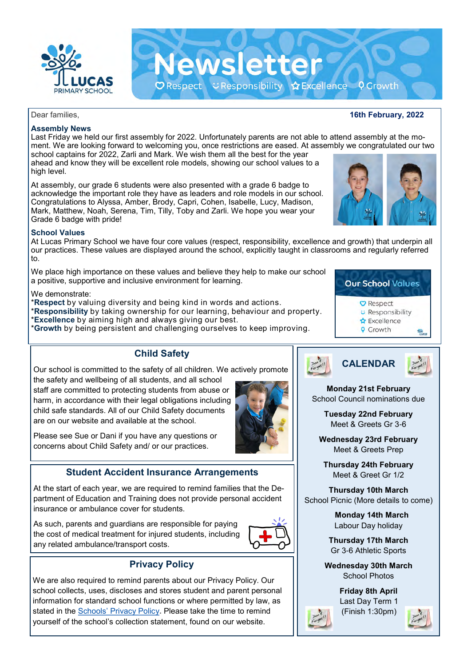

### Dear families, **16th February, 2022**

# **Assembly News**

Last Friday we held our first assembly for 2022. Unfortunately parents are not able to attend assembly at the moment. We are looking forward to welcoming you, once restrictions are eased. At assembly we congratulated our two school captains for 2022, Zarli and Mark. We wish them all the best for the year ahead and know they will be excellent role models, showing our school values to a high level.

**Newsletter** 

 $\mathbf O$  Respect  $\mathbf C$  Responsibility  $\mathbf O$  Excellence  $\mathbf O$  Growth

At assembly, our grade 6 students were also presented with a grade 6 badge to acknowledge the important role they have as leaders and role models in our school. Congratulations to Alyssa, Amber, Brody, Capri, Cohen, Isabelle, Lucy, Madison, Mark, Matthew, Noah, Serena, Tim, Tilly, Toby and Zarli. We hope you wear your Grade 6 badge with pride!

### **School Values**

At Lucas Primary School we have four core values (respect, responsibility, excellence and growth) that underpin all our practices. These values are displayed around the school, explicitly taught in classrooms and regularly referred to.

We place high importance on these values and believe they help to make our school a positive, supportive and inclusive environment for learning.

### We demonstrate:

\***Respect** by valuing diversity and being kind in words and actions.

\***Responsibility** by taking ownership for our learning, behaviour and property.

\***Excellence** by aiming high and always giving our best.

\***Growth** by being persistent and challenging ourselves to keep improving.

**Child Safety**

Our school is committed to the safety of all children. We actively promote the safety and wellbeing of all students, and all school staff are committed to protecting students from abuse or harm, in accordance with their legal obligations including child safe standards. All of our Child Safety documents are on our website and available at the school.

Please see Sue or Dani if you have any questions or concerns about Child Safety and/ or our practices.

# **Student Accident Insurance Arrangements**

At the start of each year, we are required to remind families that the Department of Education and Training does not provide personal accident insurance or ambulance cover for students.

As such, parents and guardians are responsible for paying the cost of medical treatment for injured students, including any related ambulance/transport costs.



## **Privacy Policy**

We are also required to remind parents about our Privacy Policy. Our school collects, uses, discloses and stores student and parent personal information for standard school functions or where permitted by law, as stated in the [Schools' Privacy Policy](https://www.education.vic.gov.au/Pages/schoolsprivacypolicy.aspx)**.** Please take the time to remind yourself of the school's collection statement, found on our website.







**Monday 21st February**  School Council nominations due

> **Tuesday 22nd February**  Meet & Greets Gr 3-6

**Wednesday 23rd February**  Meet & Greets Prep

**Thursday 24th February**  Meet & Greet Gr 1/2

**Thursday 10th March**  School Picnic (More details to come)

> **Monday 14th March**  Labour Day holiday

**Thursday 17th March**  Gr 3-6 Athletic Sports

**Wednesday 30th March**  School Photos

> **Friday 8th April**  Last Day Term 1 (Finish 1:30pm)